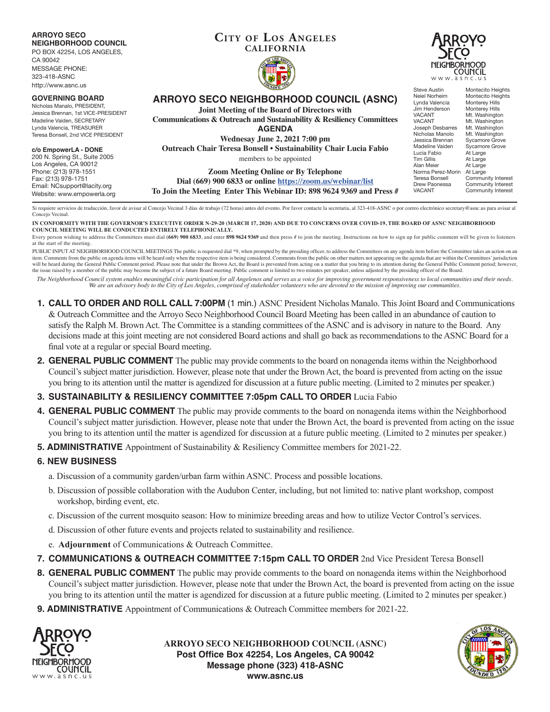**ARROYO SECO NEIGHBORHOOD COUNCIL**

PO BOX 42254, LOS ANGELES, CA 90042 MESSAGE PHONE:

323-418-ASNC http://www.asnc.us

#### **GOVERNING BO**

Nicholas Manalo, PRE Jessica Brennan, 1st \ Madeline Vaiden, SEC Lynda Valencia, TREA Teresa Bonsell, 2nd V

#### **c/o EmpowerLA -**

 $200$  N. Spring St.,  $\frac{1}{2}$ Los Angeles, CA 9 Phone: (213) 978-1 Fax: (213) 978-1751  $F$ mail: NCsupport@ Website: www.emp

### **Cit y of Los Angeles CALIFORNIA**





|                                                 | <b>OUNDED 138</b>                                                                       | Steve Austin                                     | Montecito Heights                                            |
|-------------------------------------------------|-----------------------------------------------------------------------------------------|--------------------------------------------------|--------------------------------------------------------------|
| <b>DARD</b><br>SIDENT.<br><b>/ICE-PRESIDENT</b> | ARROYO SECO NEIGHBORHOOD COUNCIL (ASNC)<br>Joint Meeting of the Board of Directors with | Neiel Norheim<br>Lynda Valencia<br>Jim Henderson | Montecito Heights<br><b>Monterey Hills</b><br>Monterey Hills |
| <b>RETARY</b>                                   | Communications & Outreach and Sustainability & Resiliency Committees                    | <b>VACANT</b><br><b>VACANT</b>                   | Mt. Washington<br>Mt. Washington                             |
| <b>SURER</b>                                    | <b>AGENDA</b>                                                                           | Joseph Desbarres<br>Nicholas Manolo              | Mt. Washington<br>Mt. Washington                             |
| <b>CE PRESIDENT</b>                             | <b>Wednesay June 2, 2021 7:00 pm</b>                                                    | Jessica Brennan                                  | Sycamore Grove                                               |
| <b>DONE</b>                                     | Outreach Chair Teresa Bonsell . Sustainability Chair Lucia Fabio                        | Madeline Vaiden<br>Lucia Fabio                   | Sycamore Grove<br>At Large                                   |
| Suite 2005<br>0012                              | members to be appointed                                                                 | Tim Gillis                                       | At Large                                                     |
| 551                                             | <b>Zoom Meeting Online or By Telephone</b>                                              | Alan Meier<br>Norma Perez-Morin                  | At Large<br>At Large                                         |
|                                                 | Dial (669) 900 6833 or online https://zoom.us/webinar/list                              | Teresa Bonsell<br>Drew Paonessa                  | Community Interest<br>Community Interest                     |
| lacity.org<br>owerla.org                        | To Join the Meeting Enter This Webinar ID: 898 9624 9369 and Press #                    | <b>VACANT</b>                                    | Community Interest                                           |
|                                                 |                                                                                         |                                                  |                                                              |

Si requiere servicios de traducción, favor de avisar al Concejo Vecinal 3 días de trabajo (72 horas) antes del evento. Por favor contacte la secretaria, al 323-418-ASNC o por correo electrónico secretary@asnc.us para avisa Concejo Vecinal.

**IN CONFORMITY WITH THE GOVERNOR'S EXECUTIVE ORDER N-29-20 (MARCH 17, 2020) AND DUE TO CONCERNS OVER COVID-19, THE BOARD OF ASNC NEIGHBORHOOD COUNCIL MEETING WILL BE CONDUCTED ENTIRELY TELEPHONICALLY.**

Every person wishing to address the Committees must dial (669) 900 6833, and enter 898 9624 9369 and then press # to join the meeting. Instructions on how to sign up for public comment will be given to listeners at the start of the meeting.

PUBLIC INPUT AT NEIGHBORHOOD COUNCIL MEETINGS The public is requested dial \*9, when prompted by the presiding officer, to address the Committees on any agenda item before the Committee takes an action on an item. Comments from the public on agenda items will be heard only when the respective item is being considered. Comments from the public on other matters not appearing on the agenda that are within the Committees' jurisdic will be heard during the General Public Comment period. Please note that under the Brown Act, the Board is prevented from acting on a matter that you bring to its attention during the General Public Comment period; however the issue raised by a member of the public may become the subject of a future Board meeting. Public comment is limited to two minutes per speaker, unless adjusted by the presiding officer of the Board.

*The Neighborhood Council system enables meaningful civic participation for all Angelenos and serves as a voice for improving government responsiveness to local communities and their needs. We are an advisory body to the City of Los Angeles, comprised of stakeholder volunteers who are devoted to the mission of improving our communities.*

- **1. CALL TO ORDER AND ROLL CALL 7:00PM** (1 min.) ASNC President Nicholas Manalo. This Joint Board and Communications & Outreach Committee and the Arroyo Seco Neighborhood Council Board Meeting has been called in an abundance of caution to satisfy the Ralph M. Brown Act. The Committee is a standing committees of the ASNC and is advisory in nature to the Board. Any decisions made at this joint meeting are not considered Board actions and shall go back as recommendations to the ASNC Board for a final vote at a regular or special Board meeting.
- **2. GENERAL PUBLIC COMMENT** The public may provide comments to the board on nonagenda items within the Neighborhood Council's subject matter jurisdiction. However, please note that under the Brown Act, the board is prevented from acting on the issue you bring to its attention until the matter is agendized for discussion at a future public meeting. (Limited to 2 minutes per speaker.)

# **3. SUSTAINABILITY & RESILIENCY COMMITTEE 7:05pm CALL TO ORDER** Lucia Fabio

- **4. GENERAL PUBLIC COMMENT** The public may provide comments to the board on nonagenda items within the Neighborhood Council's subject matter jurisdiction. However, please note that under the Brown Act, the board is prevented from acting on the issue you bring to its attention until the matter is agendized for discussion at a future public meeting. (Limited to 2 minutes per speaker.)
- **5. ADMINISTRATIVE** Appointment of Sustainability & Resiliency Committee members for 2021-22.

# **6. NEW BUSINESS**

- a. Discussion of a community garden/urban farm within ASNC. Process and possible locations.
- b. Discussion of possible collaboration with the Audubon Center, including, but not limited to: native plant workshop, compost workshop, birding event, etc.
- c. Discussion of the current mosquito season: How to minimize breeding areas and how to utilize Vector Control's services.
- d. Discussion of other future events and projects related to sustainability and resilience.
- e. **Adjournment** of Communications & Outreach Committee.
- **7. COMMUNICATIONS & OUTREACH COMMITTEE 7:15pm CALL TO ORDER** 2nd Vice President Teresa Bonsell
- **8. GENERAL PUBLIC COMMENT** The public may provide comments to the board on nonagenda items within the Neighborhood Council's subject matter jurisdiction. However, please note that under the Brown Act, the board is prevented from acting on the issue you bring to its attention until the matter is agendized for discussion at a future public meeting. (Limited to 2 minutes per speaker.)
- **9. ADMINISTRATIVE** Appointment of Communications & Outreach Committee members for 2021-22.



**ARROYO SECO NEIGHBORHOOD COUNCIL (ASNC) Post Office Box 42254, Los Angeles, CA 90042 Message phone (323) 418-ASNC www.asnc.us**